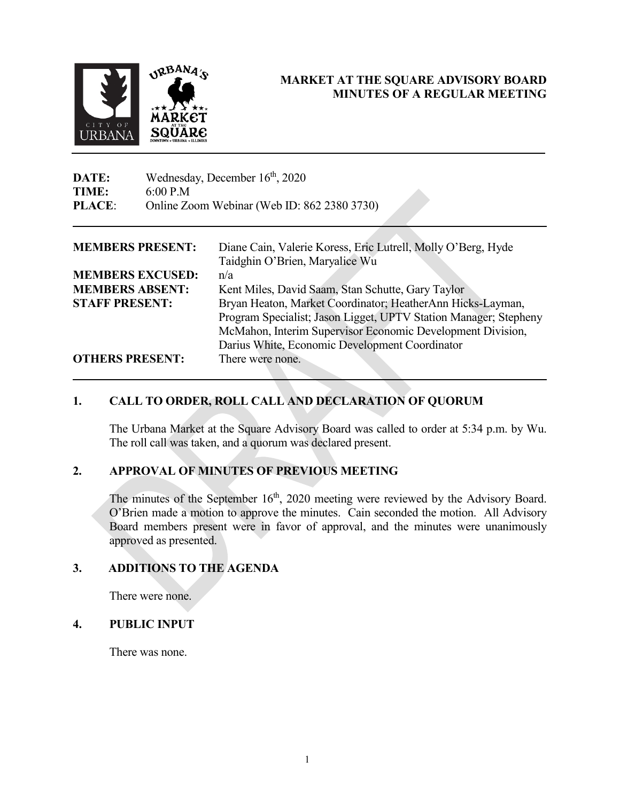

## **MARKET AT THE SQUARE ADVISORY BOARD MINUTES OF A REGULAR MEETING**

| DATE:            | Wednesday, December $16th$ , 2020           |          |  |
|------------------|---------------------------------------------|----------|--|
| TIME:            | 6:00 P.M                                    |          |  |
| <b>PLACE:</b>    | Online Zoom Webinar (Web ID: 862 2380 3730) |          |  |
| MEMDEDS DDESENT. |                                             | $\Gamma$ |  |

| <b>MEMBERS PRESENT:</b><br>Diane Cain, Valerie Koress, Eric Lutrell, Molly O'Berg, Hyde |                                                                  |
|-----------------------------------------------------------------------------------------|------------------------------------------------------------------|
|                                                                                         | Taidghin O'Brien, Maryalice Wu                                   |
| <b>MEMBERS EXCUSED:</b>                                                                 | n/a                                                              |
| <b>MEMBERS ABSENT:</b>                                                                  | Kent Miles, David Saam, Stan Schutte, Gary Taylor                |
| <b>STAFF PRESENT:</b>                                                                   | Bryan Heaton, Market Coordinator; HeatherAnn Hicks-Layman,       |
|                                                                                         | Program Specialist; Jason Ligget, UPTV Station Manager; Stepheny |
|                                                                                         | McMahon, Interim Supervisor Economic Development Division,       |
|                                                                                         | Darius White, Economic Development Coordinator                   |
| <b>OTHERS PRESENT:</b>                                                                  | There were none.                                                 |

# **1. CALL TO ORDER, ROLL CALL AND DECLARATION OF QUORUM**

The Urbana Market at the Square Advisory Board was called to order at 5:34 p.m. by Wu. The roll call was taken, and a quorum was declared present.

### **2. APPROVAL OF MINUTES OF PREVIOUS MEETING**

The minutes of the September 16<sup>th</sup>, 2020 meeting were reviewed by the Advisory Board. O'Brien made a motion to approve the minutes. Cain seconded the motion. All Advisory Board members present were in favor of approval, and the minutes were unanimously approved as presented.

### **3. ADDITIONS TO THE AGENDA**

There were none.

#### **4. PUBLIC INPUT**

There was none.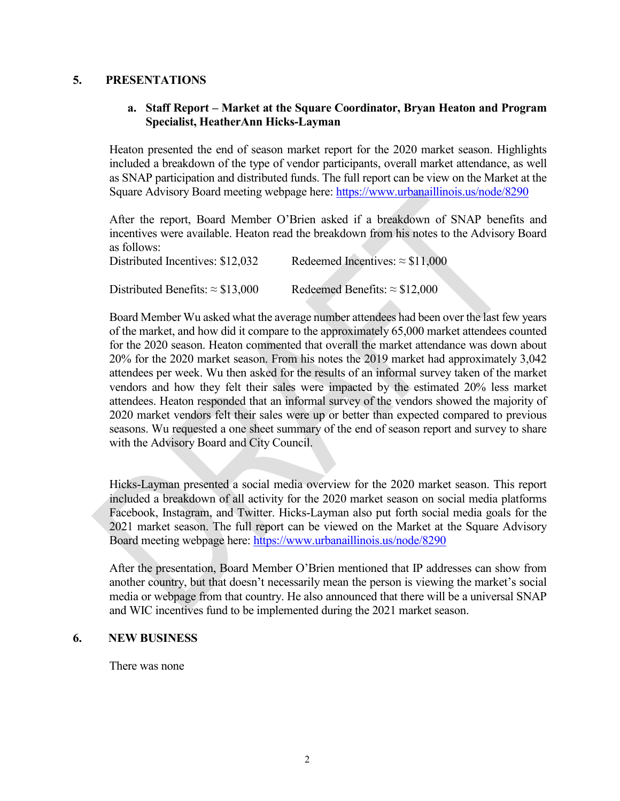#### **5. PRESENTATIONS**

#### **a. Staff Report – Market at the Square Coordinator, Bryan Heaton and Program Specialist, HeatherAnn Hicks-Layman**

Heaton presented the end of season market report for the 2020 market season. Highlights included a breakdown of the type of vendor participants, overall market attendance, as well as SNAP participation and distributed funds. The full report can be view on the Market at the Square Advisory Board meeting webpage here:<https://www.urbanaillinois.us/node/8290>

After the report, Board Member O'Brien asked if a breakdown of SNAP benefits and incentives were available. Heaton read the breakdown from his notes to the Advisory Board as follows: Distributed Incentives:  $$12,032$  Redeemed Incentives:  $\approx $11,000$ 

| Distributed Benefits: $\approx$ \$13,000 | Redeemed Benefits: $\approx$ \$12,000 |
|------------------------------------------|---------------------------------------|

Board Member Wu asked what the average number attendees had been over the last few years of the market, and how did it compare to the approximately 65,000 market attendees counted for the 2020 season. Heaton commented that overall the market attendance was down about 20% for the 2020 market season. From his notes the 2019 market had approximately 3,042 attendees per week. Wu then asked for the results of an informal survey taken of the market vendors and how they felt their sales were impacted by the estimated 20% less market attendees. Heaton responded that an informal survey of the vendors showed the majority of 2020 market vendors felt their sales were up or better than expected compared to previous seasons. Wu requested a one sheet summary of the end of season report and survey to share with the Advisory Board and City Council.

Hicks-Layman presented a social media overview for the 2020 market season. This report included a breakdown of all activity for the 2020 market season on social media platforms Facebook, Instagram, and Twitter. Hicks-Layman also put forth social media goals for the 2021 market season. The full report can be viewed on the Market at the Square Advisory Board meeting webpage here:<https://www.urbanaillinois.us/node/8290>

After the presentation, Board Member O'Brien mentioned that IP addresses can show from another country, but that doesn't necessarily mean the person is viewing the market's social media or webpage from that country. He also announced that there will be a universal SNAP and WIC incentives fund to be implemented during the 2021 market season.

#### **6. NEW BUSINESS**

There was none